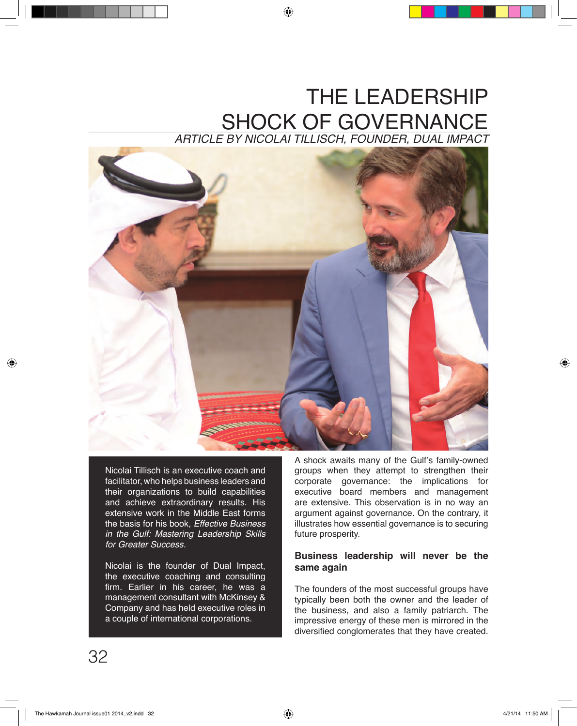# THE LEADERSHIP SHOCK OF GOVERNANCE

*ARTICLE BY NICOLAI TILLISCH, FOUNDER, DUAL IMPACT*



Nicolai Tillisch is an executive coach and facilitator, who helps business leaders and their organizations to build capabilities and achieve extraordinary results. His extensive work in the Middle East forms the basis for his book, *Effective Business in the Gulf: Mastering Leadership Skills for Greater Success.*

Nicolai is the founder of Dual Impact, the executive coaching and consulting firm. Earlier in his career, he was a management consultant with McKinsey & Company and has held executive roles in a couple of international corporations.

A shock awaits many of the Gulf's family-owned groups when they attempt to strengthen their corporate governance: the implications for executive board members and management are extensive. This observation is in no way an argument against governance. On the contrary, it illustrates how essential governance is to securing future prosperity.

## **Business leadership will never be the same again**

The founders of the most successful groups have typically been both the owner and the leader of the business, and also a family patriarch. The impressive energy of these men is mirrored in the diversified conglomerates that they have created.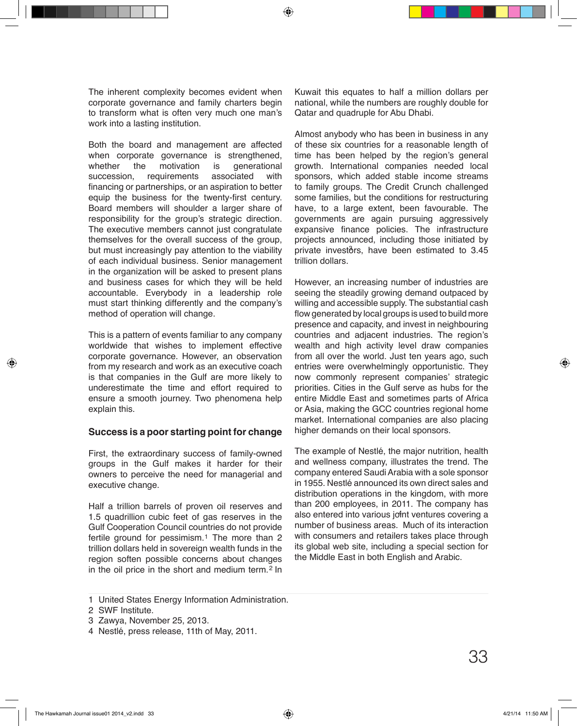The inherent complexity becomes evident when corporate governance and family charters begin to transform what is often very much one man's work into a lasting institution.

Both the board and management are affected when corporate governance is strengthened,<br>whether the motivation is generational whether the motivation is generational<br>succession, requirements associated with requirements financing or partnerships, or an aspiration to better equip the business for the twenty-first century. Board members will shoulder a larger share of responsibility for the group's strategic direction. The executive members cannot just congratulate themselves for the overall success of the group, but must increasingly pay attention to the viability of each individual business. Senior management in the organization will be asked to present plans and business cases for which they will be held accountable. Everybody in a leadership role must start thinking differently and the company's method of operation will change.

This is a pattern of events familiar to any company worldwide that wishes to implement effective corporate governance. However, an observation from my research and work as an executive coach is that companies in the Gulf are more likely to underestimate the time and effort required to ensure a smooth journey. Two phenomena help explain this.

### **Success is a poor starting point for change**

First, the extraordinary success of family-owned groups in the Gulf makes it harder for their owners to perceive the need for managerial and executive change.

Half a trillion barrels of proven oil reserves and 1.5 quadrillion cubic feet of gas reserves in the Gulf Cooperation Council countries do not provide fertile ground for pessimism. $1$  The more than 2 trillion dollars held in sovereign wealth funds in the region soften possible concerns about changes in the oil price in the short and medium term.<sup>2</sup> In

Kuwait this equates to half a million dollars per national, while the numbers are roughly double for Qatar and quadruple for Abu Dhabi.

Almost anybody who has been in business in any of these six countries for a reasonable length of time has been helped by the region's general growth. International companies needed local sponsors, which added stable income streams to family groups. The Credit Crunch challenged some families, but the conditions for restructuring have, to a large extent, been favourable. The governments are again pursuing aggressively expansive finance policies. The infrastructure projects announced, including those initiated by private investors, have been estimated to 3.45 trillion dollars.

However, an increasing number of industries are seeing the steadily growing demand outpaced by willing and accessible supply. The substantial cash flow generated by local groups is used to build more presence and capacity, and invest in neighbouring countries and adjacent industries. The region's wealth and high activity level draw companies from all over the world. Just ten years ago, such entries were overwhelmingly opportunistic. They now commonly represent companies' strategic priorities. Cities in the Gulf serve as hubs for the entire Middle East and sometimes parts of Africa or Asia, making the GCC countries regional home market. International companies are also placing higher demands on their local sponsors.

The example of Nestlé, the major nutrition, health and wellness company, illustrates the trend. The company entered Saudi Arabia with a sole sponsor in 1955. Nestlé announced its own direct sales and distribution operations in the kingdom, with more than 200 employees, in 2011. The company has also entered into various jo<del>f</del>nt ventures covering a number of business areas. Much of its interaction with consumers and retailers takes place through its global web site, including a special section for the Middle East in both English and Arabic.

United States Energy Information Administration. 1

SWF Institute. 2

<sup>3</sup> Zawya, November 25, 2013.

Nestlé, press release, 11th of May, 2011. 4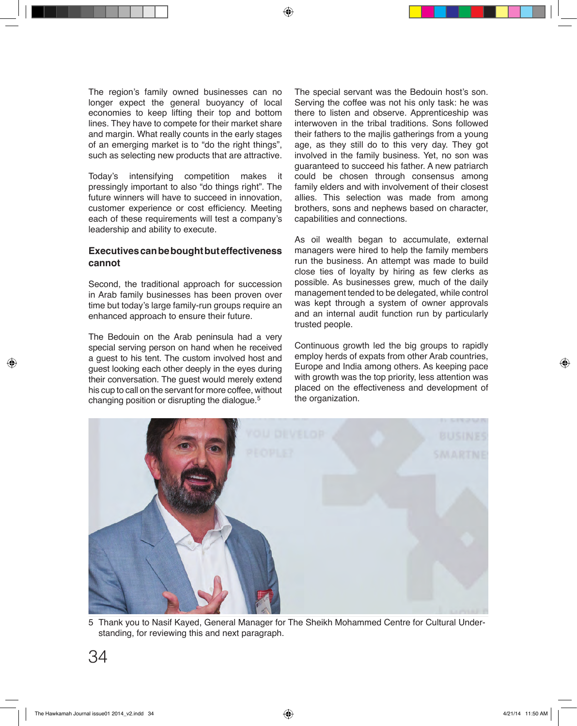The region's family owned businesses can no longer expect the general buoyancy of local economies to keep lifting their top and bottom lines. They have to compete for their market share and margin. What really counts in the early stages of an emerging market is to "do the right things", such as selecting new products that are attractive.

Today's intensifying competition makes it pressingly important to also "do things right". The future winners will have to succeed in innovation, customer experience or cost efficiency. Meeting each of these requirements will test a company's leadership and ability to execute.

# **Executives can be bought but effectiveness cannot**

Second, the traditional approach for succession in Arab family businesses has been proven over time but today's large family-run groups require an enhanced approach to ensure their future.

The Bedouin on the Arab peninsula had a very special serving person on hand when he received a guest to his tent. The custom involved host and guest looking each other deeply in the eyes during their conversation. The guest would merely extend his cup to call on the servant for more coffee, without changing position or disrupting the dialogue. 5

The special servant was the Bedouin host's son. Serving the coffee was not his only task: he was there to listen and observe. Apprenticeship was interwoven in the tribal traditions. Sons followed their fathers to the majlis gatherings from a young age, as they still do to this very day. They got involved in the family business. Yet, no son was guaranteed to succeed his father. A new patriarch could be chosen through consensus among family elders and with involvement of their closest allies. This selection was made from among brothers, sons and nephews based on character, capabilities and connections.

As oil wealth began to accumulate, external managers were hired to help the family members run the business. An attempt was made to build close ties of loyalty by hiring as few clerks as possible. As businesses grew, much of the daily management tended to be delegated, while control was kept through a system of owner approvals and an internal audit function run by particularly trusted people.

Continuous growth led the big groups to rapidly employ herds of expats from other Arab countries, Europe and India among others. As keeping pace with growth was the top priority, less attention was placed on the effectiveness and development of the organization.



Thank you to Nasif Kayed, General Manager for The Sheikh Mohammed Centre for Cultural Under-5 standing, for reviewing this and next paragraph.